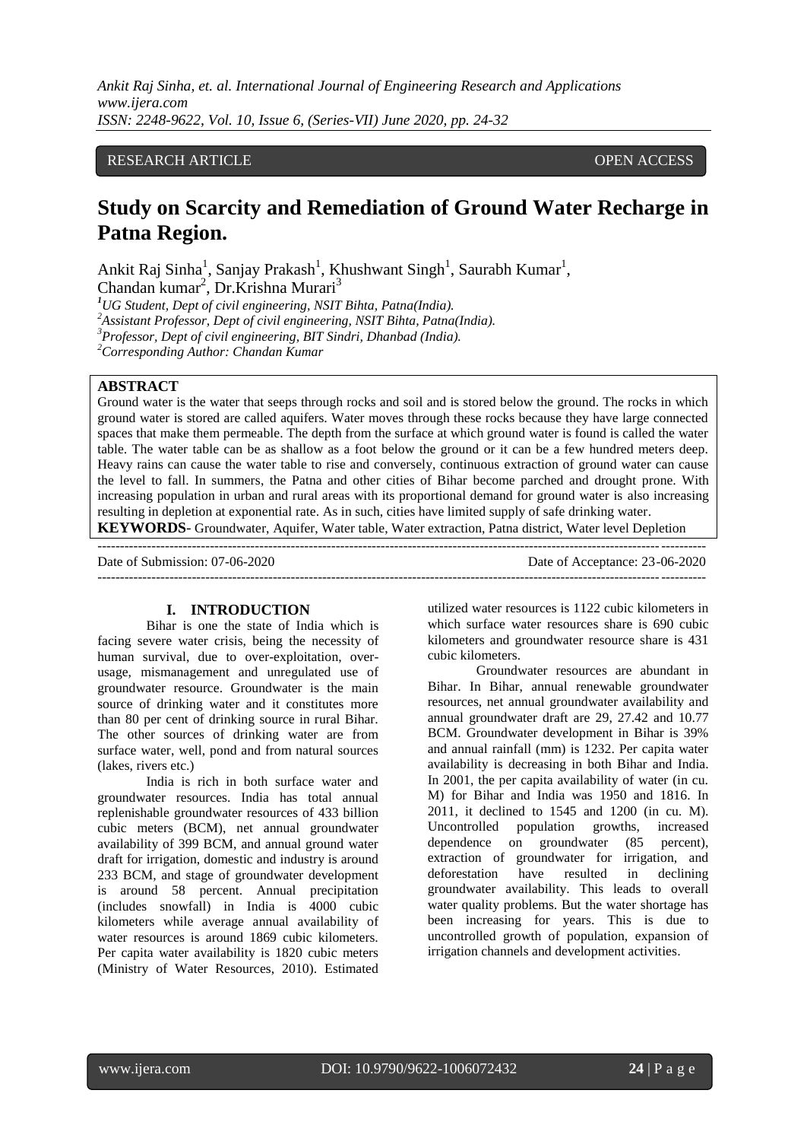# RESEARCH ARTICLE **CONSERVERS** OPEN ACCESS

# **Study on Scarcity and Remediation of Ground Water Recharge in Patna Region.**

Ankit Raj Sinha<sup>1</sup>, Sanjay Prakash<sup>1</sup>, Khushwant Singh<sup>1</sup>, Saurabh Kumar<sup>1</sup>, Chandan kumar<sup>2</sup>, Dr.Krishna Murari<sup>3</sup>

*<sup>1</sup>UG Student, Dept of civil engineering, NSIT Bihta, Patna(India).*

*<sup>2</sup>Assistant Professor, Dept of civil engineering, NSIT Bihta, Patna(India).*

*<sup>3</sup>Professor, Dept of civil engineering, BIT Sindri, Dhanbad (India).*

*<sup>2</sup>Corresponding Author: Chandan Kumar*

# **ABSTRACT**

Ground water is the water that seeps through rocks and soil and is stored below the ground. The rocks in which ground water is stored are called aquifers. Water moves through these rocks because they have large connected spaces that make them permeable. The depth from the surface at which ground water is found is called the water table. The water table can be as shallow as a foot below the ground or it can be a few hundred meters deep. Heavy rains can cause the water table to rise and conversely, continuous extraction of ground water can cause the level to fall. In summers, the Patna and other cities of Bihar become parched and drought prone. With increasing population in urban and rural areas with its proportional demand for ground water is also increasing resulting in depletion at exponential rate. As in such, cities have limited supply of safe drinking water. **KEYWORDS**- Groundwater, Aquifer, Water table, Water extraction, Patna district, Water level Depletion

--------------------------------------------------------------------------------------------------------------------------------------- Date of Submission: 07-06-2020 Date of Acceptance: 23-06-2020

---------------------------------------------------------------------------------------------------------------------------------------

#### **I. INTRODUCTION**

Bihar is one the state of India which is facing severe water crisis, being the necessity of human survival, due to over-exploitation, overusage, mismanagement and unregulated use of groundwater resource. Groundwater is the main source of drinking water and it constitutes more than 80 per cent of drinking source in rural Bihar. The other sources of drinking water are from surface water, well, pond and from natural sources (lakes, rivers etc.)

India is rich in both surface water and groundwater resources. India has total annual replenishable groundwater resources of 433 billion cubic meters (BCM), net annual groundwater availability of 399 BCM, and annual ground water draft for irrigation, domestic and industry is around 233 BCM, and stage of groundwater development is around 58 percent. Annual precipitation (includes snowfall) in India is 4000 cubic kilometers while average annual availability of water resources is around 1869 cubic kilometers. Per capita water availability is 1820 cubic meters (Ministry of Water Resources, 2010). Estimated

utilized water resources is 1122 cubic kilometers in which surface water resources share is 690 cubic kilometers and groundwater resource share is 431 cubic kilometers.

Groundwater resources are abundant in Bihar. In Bihar, annual renewable groundwater resources, net annual groundwater availability and annual groundwater draft are 29, 27.42 and 10.77 BCM. Groundwater development in Bihar is 39% and annual rainfall (mm) is 1232. Per capita water availability is decreasing in both Bihar and India. In 2001, the per capita availability of water (in cu. M) for Bihar and India was 1950 and 1816. In 2011, it declined to 1545 and 1200 (in cu. M). Uncontrolled population growths, increased dependence on groundwater (85 percent), extraction of groundwater for irrigation, and deforestation have resulted in declining groundwater availability. This leads to overall water quality problems. But the water shortage has been increasing for years. This is due to uncontrolled growth of population, expansion of irrigation channels and development activities.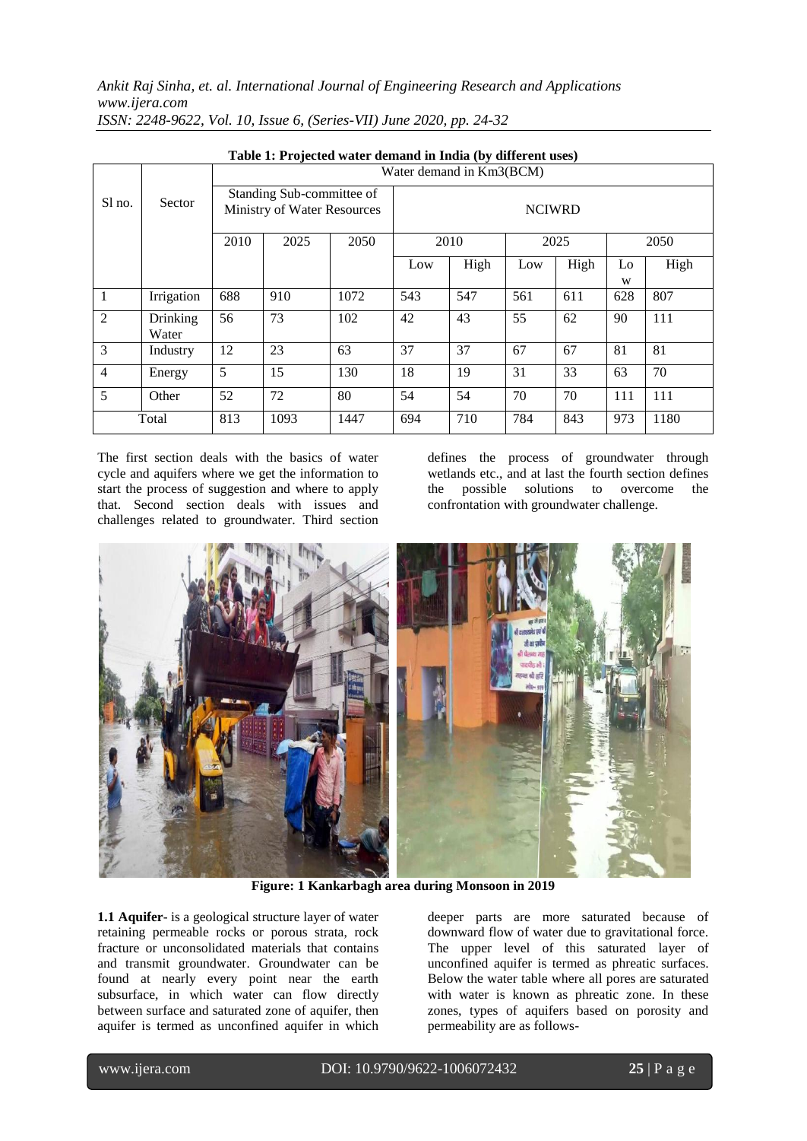*Ankit Raj Sinha, et. al. International Journal of Engineering Research and Applications www.ijera.com*

| Table 1: Projected water demand in India (by different uses) |                   |                                                          |      |      |               |      |      |      |         |      |
|--------------------------------------------------------------|-------------------|----------------------------------------------------------|------|------|---------------|------|------|------|---------|------|
|                                                              |                   | Water demand in Km3(BCM)                                 |      |      |               |      |      |      |         |      |
| Sl no.                                                       | Sector            | Standing Sub-committee of<br>Ministry of Water Resources |      |      | <b>NCIWRD</b> |      |      |      |         |      |
|                                                              |                   | 2010                                                     | 2025 | 2050 | 2010          |      | 2025 |      | 2050    |      |
|                                                              |                   |                                                          |      |      | Low           | High | Low  | High | Lo<br>W | High |
| $\mathbf{1}$                                                 | Irrigation        | 688                                                      | 910  | 1072 | 543           | 547  | 561  | 611  | 628     | 807  |
| $\overline{2}$                                               | Drinking<br>Water | 56                                                       | 73   | 102  | 42            | 43   | 55   | 62   | 90      | 111  |
| 3                                                            | Industry          | 12                                                       | 23   | 63   | 37            | 37   | 67   | 67   | 81      | 81   |
| $\overline{4}$                                               | Energy            | 5                                                        | 15   | 130  | 18            | 19   | 31   | 33   | 63      | 70   |
| 5                                                            | Other             | 52                                                       | 72   | 80   | 54            | 54   | 70   | 70   | 111     | 111  |
| Total                                                        |                   | 813                                                      | 1093 | 1447 | 694           | 710  | 784  | 843  | 973     | 1180 |

*ISSN: 2248-9622, Vol. 10, Issue 6, (Series-VII) June 2020, pp. 24-32*

The first section deals with the basics of water cycle and aquifers where we get the information to start the process of suggestion and where to apply that. Second section deals with issues and challenges related to groundwater. Third section

defines the process of groundwater through wetlands etc., and at last the fourth section defines the possible solutions to overcome the confrontation with groundwater challenge.



**Figure: 1 Kankarbagh area during Monsoon in 2019**

**1.1 Aquifer**- is a geological structure layer of water retaining permeable rocks or porous strata, rock fracture or unconsolidated materials that contains and transmit groundwater. Groundwater can be found at nearly every point near the earth subsurface, in which water can flow directly between surface and saturated zone of aquifer, then aquifer is termed as unconfined aquifer in which

deeper parts are more saturated because of downward flow of water due to gravitational force. The upper level of this saturated layer of unconfined aquifer is termed as phreatic surfaces. Below the water table where all pores are saturated with water is known as phreatic zone. In these zones, types of aquifers based on porosity and permeability are as follows-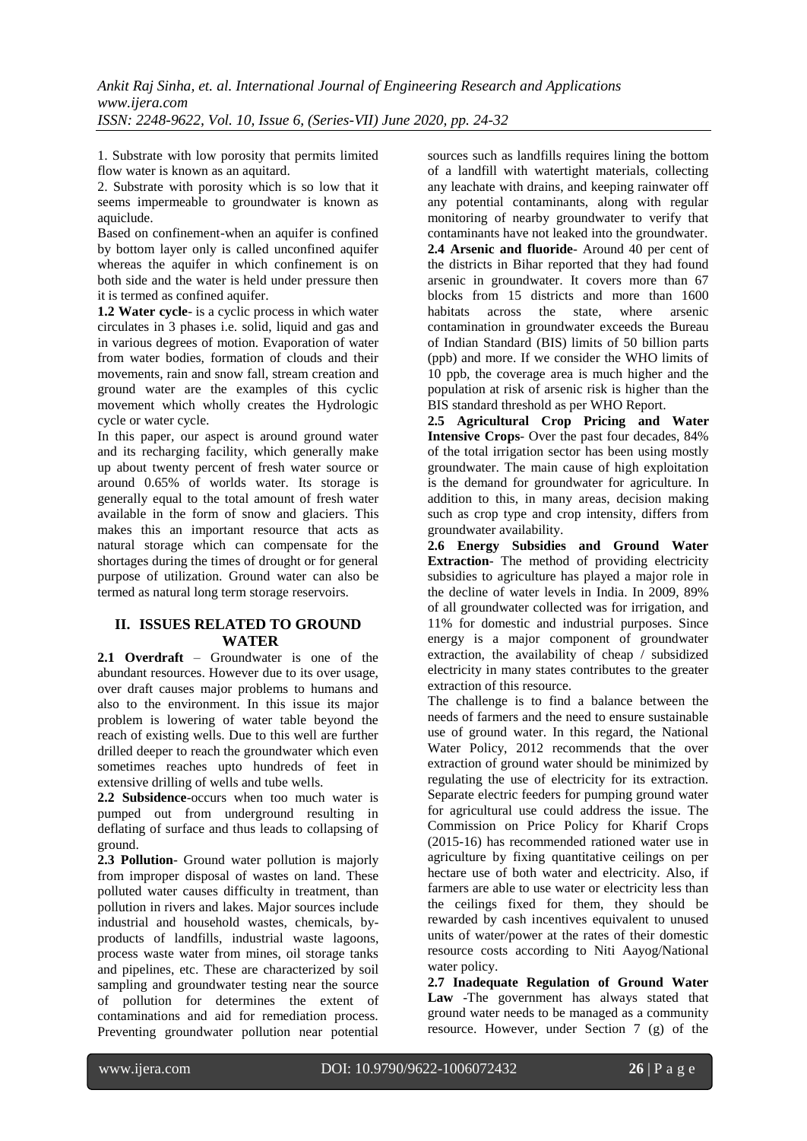1. Substrate with low porosity that permits limited flow water is known as an aquitard.

2. Substrate with porosity which is so low that it seems impermeable to groundwater is known as aquiclude.

Based on confinement-when an aquifer is confined by bottom layer only is called unconfined aquifer whereas the aquifer in which confinement is on both side and the water is held under pressure then it is termed as confined aquifer.

**1.2 Water cycle**- is a cyclic process in which water circulates in 3 phases i.e. solid, liquid and gas and in various degrees of motion. Evaporation of water from water bodies, formation of clouds and their movements, rain and snow fall, stream creation and ground water are the examples of this cyclic movement which wholly creates the Hydrologic cycle or water cycle.

In this paper, our aspect is around ground water and its recharging facility, which generally make up about twenty percent of fresh water source or around 0.65% of worlds water. Its storage is generally equal to the total amount of fresh water available in the form of snow and glaciers. This makes this an important resource that acts as natural storage which can compensate for the shortages during the times of drought or for general purpose of utilization. Ground water can also be termed as natural long term storage reservoirs.

# **II. ISSUES RELATED TO GROUND WATER**

**2.1 Overdraft** – Groundwater is one of the abundant resources. However due to its over usage, over draft causes major problems to humans and also to the environment. In this issue its major problem is lowering of water table beyond the reach of existing wells. Due to this well are further drilled deeper to reach the groundwater which even sometimes reaches upto hundreds of feet in extensive drilling of wells and tube wells.

**2.2 Subsidence**-occurs when too much water is pumped out from underground resulting in deflating of surface and thus leads to collapsing of ground.

**2.3 Pollution**- Ground water pollution is majorly from improper disposal of wastes on land. These polluted water causes difficulty in treatment, than pollution in rivers and lakes. Major sources include industrial and household wastes, chemicals, byproducts of landfills, industrial waste lagoons, process waste water from mines, oil storage tanks and pipelines, etc. These are characterized by soil sampling and groundwater testing near the source of pollution for determines the extent of contaminations and aid for remediation process. Preventing groundwater pollution near potential

sources such as landfills requires lining the bottom of a landfill with watertight materials, collecting any leachate with drains, and keeping rainwater off any potential contaminants, along with regular monitoring of nearby groundwater to verify that contaminants have not leaked into the groundwater. **2.4 Arsenic and fluoride**- Around 40 per cent of the districts in Bihar reported that they had found arsenic in groundwater. It covers more than 67 blocks from 15 districts and more than 1600 habitats across the state, where arsenic contamination in groundwater exceeds the Bureau of Indian Standard (BIS) limits of 50 billion parts (ppb) and more. If we consider the WHO limits of 10 ppb, the coverage area is much higher and the population at risk of arsenic risk is higher than the BIS standard threshold as per WHO Report.

**2.5 Agricultural Crop Pricing and Water Intensive Crops**- Over the past four decades, 84% of the total irrigation sector has been using mostly groundwater. The main cause of high exploitation is the demand for groundwater for agriculture. In addition to this, in many areas, decision making such as crop type and crop intensity, differs from groundwater availability.

**2.6 Energy Subsidies and Ground Water Extraction**- The method of providing electricity subsidies to agriculture has played a major role in the decline of water levels in India. In 2009, 89% of all groundwater collected was for irrigation, and 11% for domestic and industrial purposes. Since energy is a major component of groundwater extraction, the availability of cheap / subsidized electricity in many states contributes to the greater extraction of this resource.

The challenge is to find a balance between the needs of farmers and the need to ensure sustainable use of ground water. In this regard, the National Water Policy, 2012 recommends that the over extraction of ground water should be minimized by regulating the use of electricity for its extraction. Separate electric feeders for pumping ground water for agricultural use could address the issue. The Commission on Price Policy for Kharif Crops (2015-16) has recommended rationed water use in agriculture by fixing quantitative ceilings on per hectare use of both water and electricity. Also, if farmers are able to use water or electricity less than the ceilings fixed for them, they should be rewarded by cash incentives equivalent to unused units of water/power at the rates of their domestic resource costs according to Niti Aayog/National water policy.

**2.7 Inadequate Regulation of Ground Water Law** -The government has always stated that ground water needs to be managed as a community resource. However, under Section 7 (g) of the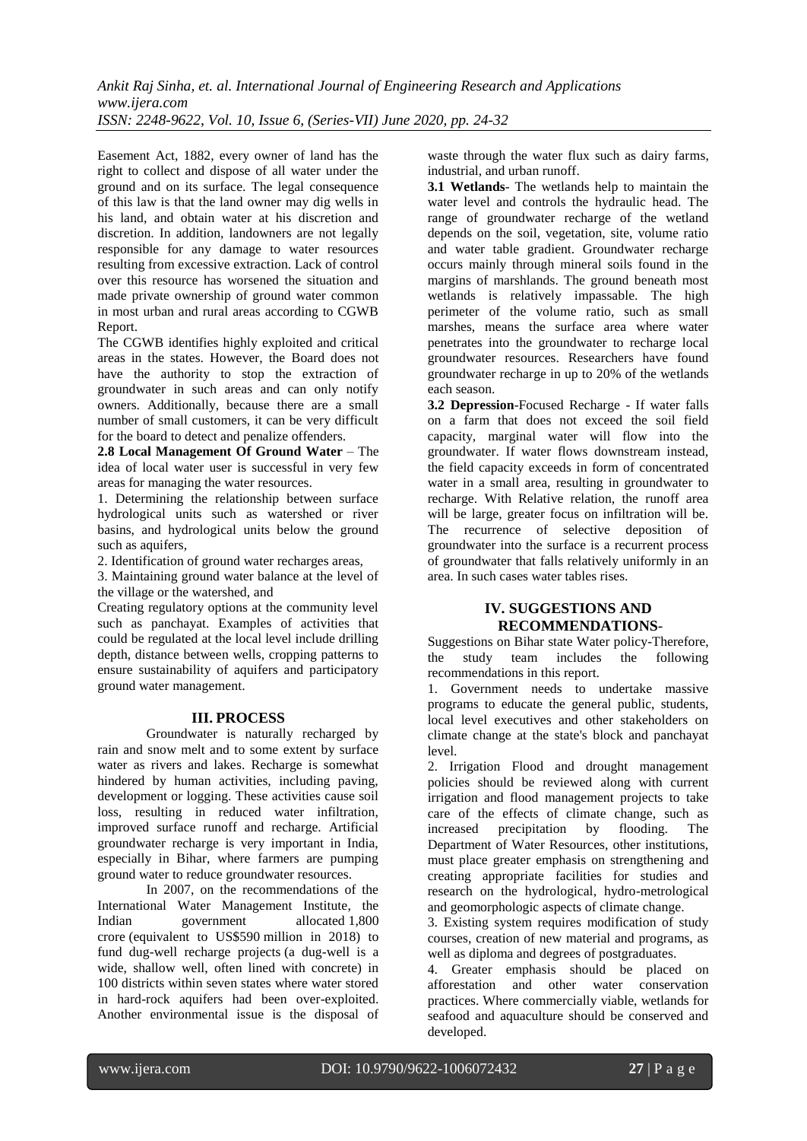Easement Act, 1882, every owner of land has the right to collect and dispose of all water under the ground and on its surface. The legal consequence of this law is that the land owner may dig wells in his land, and obtain water at his discretion and discretion. In addition, landowners are not legally responsible for any damage to water resources resulting from excessive extraction. Lack of control over this resource has worsened the situation and made private ownership of ground water common in most urban and rural areas according to CGWB Report.

The CGWB identifies highly exploited and critical areas in the states. However, the Board does not have the authority to stop the extraction of groundwater in such areas and can only notify owners. Additionally, because there are a small number of small customers, it can be very difficult for the board to detect and penalize offenders.

**2.8 Local Management Of Ground Water** – The idea of local water user is successful in very few areas for managing the water resources.

1. Determining the relationship between surface hydrological units such as watershed or river basins, and hydrological units below the ground such as aquifers,

2. Identification of ground water recharges areas,

3. Maintaining ground water balance at the level of the village or the watershed, and

Creating regulatory options at the community level such as panchayat. Examples of activities that could be regulated at the local level include drilling depth, distance between wells, cropping patterns to ensure sustainability of aquifers and participatory ground water management.

#### **III. PROCESS**

Groundwater is naturally recharged by rain and snow melt and to some extent by surface water as rivers and lakes. Recharge is somewhat hindered by human activities, including paving, development or logging. These activities cause soil loss, resulting in reduced water infiltration, improved surface runoff and recharge. Artificial groundwater recharge is very important in India, especially in Bihar, where farmers are pumping ground water to reduce groundwater resources.

In 2007, on the recommendations of the International Water Management Institute, the<br>Indian government allocated 1.800 Indian government allocated 1,800 crore (equivalent to US\$590 million in 2018) to fund dug-well recharge projects (a dug-well is a wide, shallow well, often lined with concrete) in 100 districts within seven states where water stored in hard-rock aquifers had been over-exploited. Another environmental issue is the disposal of waste through the water flux such as dairy farms, industrial, and urban runoff.

**3.1 Wetlands**- The wetlands help to maintain the water level and controls the hydraulic head. The range of groundwater recharge of the wetland depends on the soil, vegetation, site, volume ratio and water table gradient. Groundwater recharge occurs mainly through mineral soils found in the margins of marshlands. The ground beneath most wetlands is relatively impassable. The high perimeter of the volume ratio, such as small marshes, means the surface area where water penetrates into the groundwater to recharge local groundwater resources. Researchers have found groundwater recharge in up to 20% of the wetlands each season.

**3.2 Depression**-Focused Recharge - If water falls on a farm that does not exceed the soil field capacity, marginal water will flow into the groundwater. If water flows downstream instead, the field capacity exceeds in form of concentrated water in a small area, resulting in groundwater to recharge. With Relative relation, the runoff area will be large, greater focus on infiltration will be. The recurrence of selective deposition of groundwater into the surface is a recurrent process of groundwater that falls relatively uniformly in an area. In such cases water tables rises.

# **IV. SUGGESTIONS AND RECOMMENDATIONS**-

Suggestions on Bihar state Water policy-Therefore, the study team includes the following recommendations in this report.

1. Government needs to undertake massive programs to educate the general public, students, local level executives and other stakeholders on climate change at the state's block and panchayat level.

2. Irrigation Flood and drought management policies should be reviewed along with current irrigation and flood management projects to take care of the effects of climate change, such as increased precipitation by flooding. The Department of Water Resources, other institutions, must place greater emphasis on strengthening and creating appropriate facilities for studies and research on the hydrological, hydro-metrological and geomorphologic aspects of climate change.

3. Existing system requires modification of study courses, creation of new material and programs, as well as diploma and degrees of postgraduates.

4. Greater emphasis should be placed on afforestation and other water conservation practices. Where commercially viable, wetlands for seafood and aquaculture should be conserved and developed.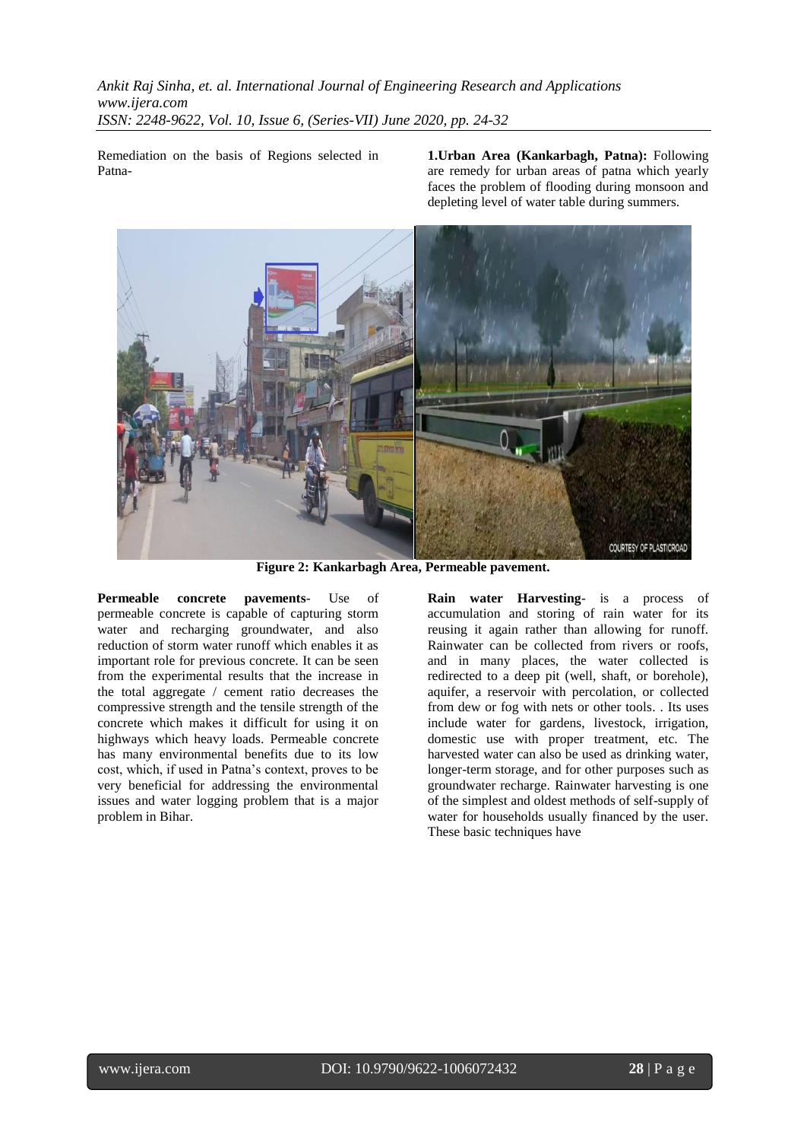Remediation on the basis of Regions selected in Patna**1.Urban Area (Kankarbagh, Patna):** Following are remedy for urban areas of patna which yearly faces the problem of flooding during monsoon and depleting level of water table during summers.



**Figure 2: Kankarbagh Area, Permeable pavement.**

**Permeable concrete pavements**- Use of permeable concrete is capable of capturing storm water and recharging groundwater, and also reduction of storm water runoff which enables it as important role for previous concrete. It can be seen from the experimental results that the increase in the total aggregate / cement ratio decreases the compressive strength and the tensile strength of the concrete which makes it difficult for using it on highways which heavy loads. Permeable concrete has many environmental benefits due to its low cost, which, if used in Patna's context, proves to be very beneficial for addressing the environmental issues and water logging problem that is a major problem in Bihar.

**Rain water Harvesting**- is a process of accumulation and storing of rain water for its reusing it again rather than allowing for runoff. Rainwater can be collected from rivers or roofs, and in many places, the water collected is redirected to a deep pit (well, shaft, or borehole), aquifer, a reservoir with percolation, or collected from dew or fog with nets or other tools. . Its uses include water for gardens, livestock, irrigation, domestic use with proper treatment, etc. The harvested water can also be used as drinking water, longer-term storage, and for other purposes such as groundwater recharge. Rainwater harvesting is one of the simplest and oldest methods of self-supply of water for households usually financed by the user. These basic techniques have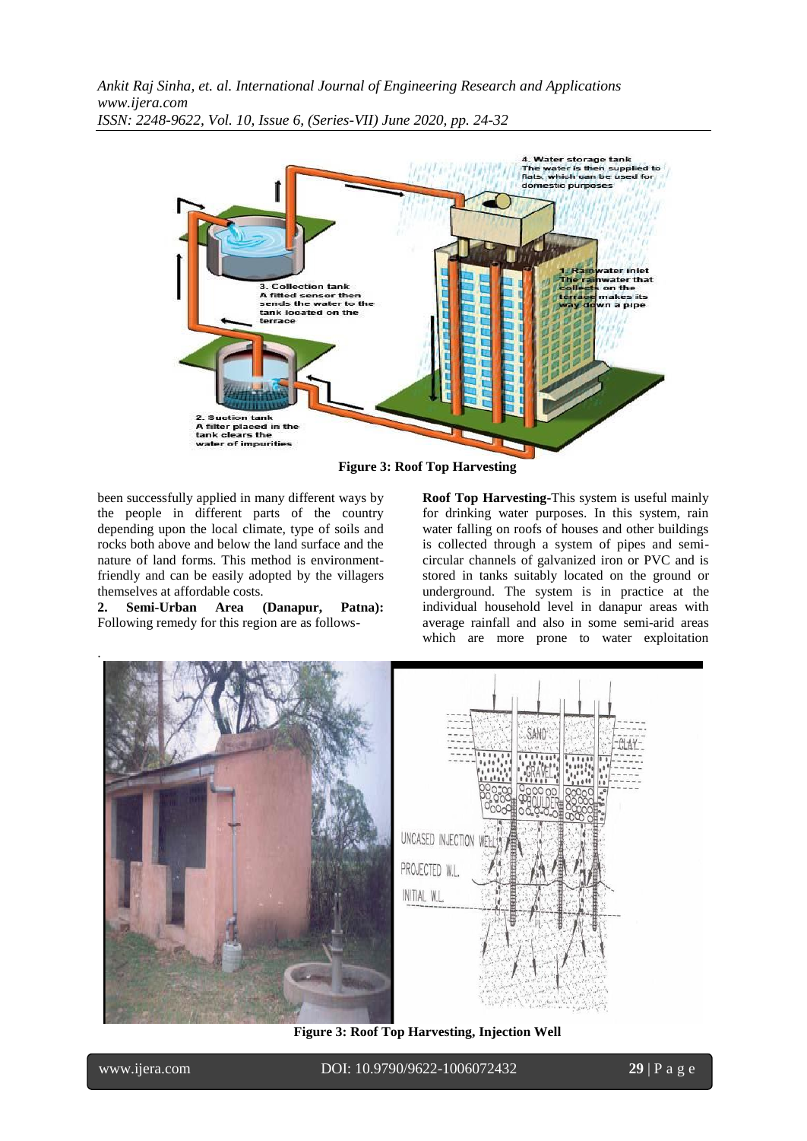

**Figure 3: Roof Top Harvesting**

been successfully applied in many different ways by the people in different parts of the country depending upon the local climate, type of soils and rocks both above and below the land surface and the nature of land forms. This method is environmentfriendly and can be easily adopted by the villagers themselves at affordable costs.

**2. Semi-Urban Area (Danapur, Patna):**  Following remedy for this region are as follows**Roof Top Harvesting-**This system is useful mainly for drinking water purposes. In this system, rain water falling on roofs of houses and other buildings is collected through a system of pipes and semicircular channels of galvanized iron or PVC and is stored in tanks suitably located on the ground or underground. The system is in practice at the individual household level in danapur areas with average rainfall and also in some semi-arid areas which are more prone to water exploitation



**Figure 3: Roof Top Harvesting, Injection Well**

www.ijera.com DOI: 10.9790/9622-1006072432 **29** | P a g e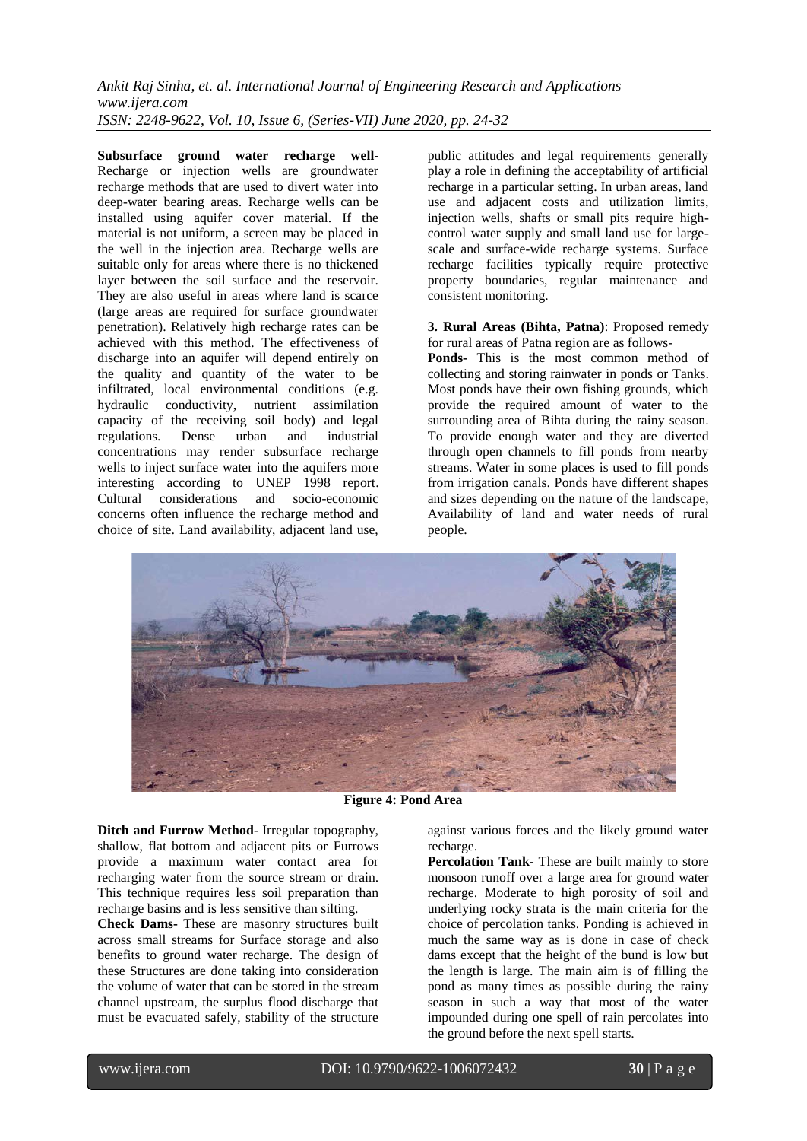**Subsurface ground water recharge well-**Recharge or injection wells are groundwater recharge methods that are used to divert water into deep-water bearing areas. Recharge wells can be installed using aquifer cover material. If the material is not uniform, a screen may be placed in the well in the injection area. Recharge wells are suitable only for areas where there is no thickened layer between the soil surface and the reservoir. They are also useful in areas where land is scarce (large areas are required for surface groundwater penetration). Relatively high recharge rates can be achieved with this method. The effectiveness of discharge into an aquifer will depend entirely on the quality and quantity of the water to be infiltrated, local environmental conditions (e.g. hydraulic conductivity, nutrient assimilation capacity of the receiving soil body) and legal<br>regulations. Dense urban and industrial regulations. Dense urban and industrial concentrations may render subsurface recharge wells to inject surface water into the aquifers more interesting according to UNEP 1998 report. Cultural considerations and socio-economic concerns often influence the recharge method and choice of site. Land availability, adjacent land use,

public attitudes and legal requirements generally play a role in defining the acceptability of artificial recharge in a particular setting. In urban areas, land use and adjacent costs and utilization limits, injection wells, shafts or small pits require highcontrol water supply and small land use for largescale and surface-wide recharge systems. Surface recharge facilities typically require protective property boundaries, regular maintenance and consistent monitoring.

#### **3. Rural Areas (Bihta, Patna)**: Proposed remedy for rural areas of Patna region are as follows-

**Ponds-** This is the most common method of collecting and storing rainwater in ponds or Tanks. Most ponds have their own fishing grounds, which provide the required amount of water to the surrounding area of Bihta during the rainy season. To provide enough water and they are diverted through open channels to fill ponds from nearby streams. Water in some places is used to fill ponds from irrigation canals. Ponds have different shapes and sizes depending on the nature of the landscape, Availability of land and water needs of rural people.



**Figure 4: Pond Area** 

**Ditch and Furrow Method**- Irregular topography, shallow, flat bottom and adjacent pits or Furrows provide a maximum water contact area for recharging water from the source stream or drain. This technique requires less soil preparation than recharge basins and is less sensitive than silting.

**Check Dams-** These are masonry structures built across small streams for Surface storage and also benefits to ground water recharge. The design of these Structures are done taking into consideration the volume of water that can be stored in the stream channel upstream, the surplus flood discharge that must be evacuated safely, stability of the structure

against various forces and the likely ground water recharge.

**Percolation Tank**- These are built mainly to store monsoon runoff over a large area for ground water recharge. Moderate to high porosity of soil and underlying rocky strata is the main criteria for the choice of percolation tanks. Ponding is achieved in much the same way as is done in case of check dams except that the height of the bund is low but the length is large. The main aim is of filling the pond as many times as possible during the rainy season in such a way that most of the water impounded during one spell of rain percolates into the ground before the next spell starts.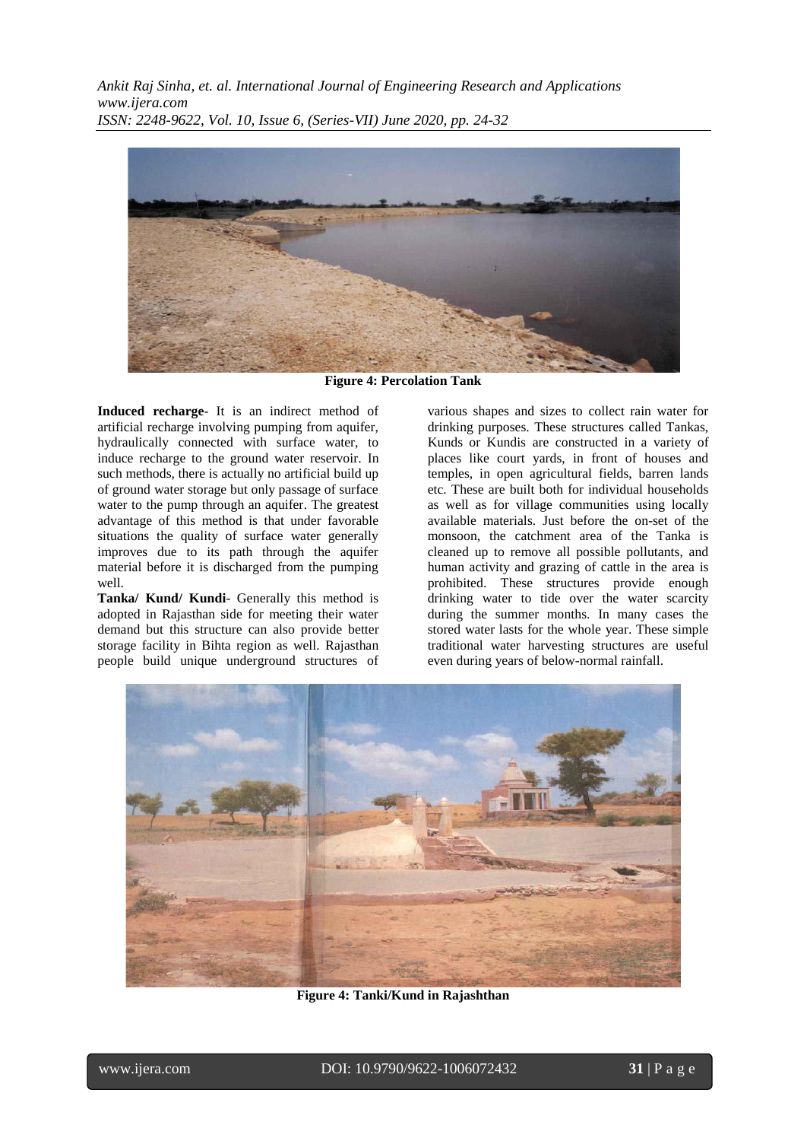

**Figure 4: Percolation Tank**

**Induced recharge**- It is an indirect method of artificial recharge involving pumping from aquifer, hydraulically connected with surface water, to induce recharge to the ground water reservoir. In such methods, there is actually no artificial build up of ground water storage but only passage of surface water to the pump through an aquifer. The greatest advantage of this method is that under favorable situations the quality of surface water generally improves due to its path through the aquifer material before it is discharged from the pumping well.

**Tanka/ Kund/ Kundi**- Generally this method is adopted in Rajasthan side for meeting their water demand but this structure can also provide better storage facility in Bihta region as well. Rajasthan people build unique underground structures of

various shapes and sizes to collect rain water for drinking purposes. These structures called Tankas, Kunds or Kundis are constructed in a variety of places like court yards, in front of houses and temples, in open agricultural fields, barren lands etc. These are built both for individual households as well as for village communities using locally available materials. Just before the on-set of the monsoon, the catchment area of the Tanka is cleaned up to remove all possible pollutants, and human activity and grazing of cattle in the area is prohibited. These structures provide enough drinking water to tide over the water scarcity during the summer months. In many cases the stored water lasts for the whole year. These simple traditional water harvesting structures are useful even during years of below-normal rainfall.



**Figure 4: Tanki/Kund in Rajashthan**